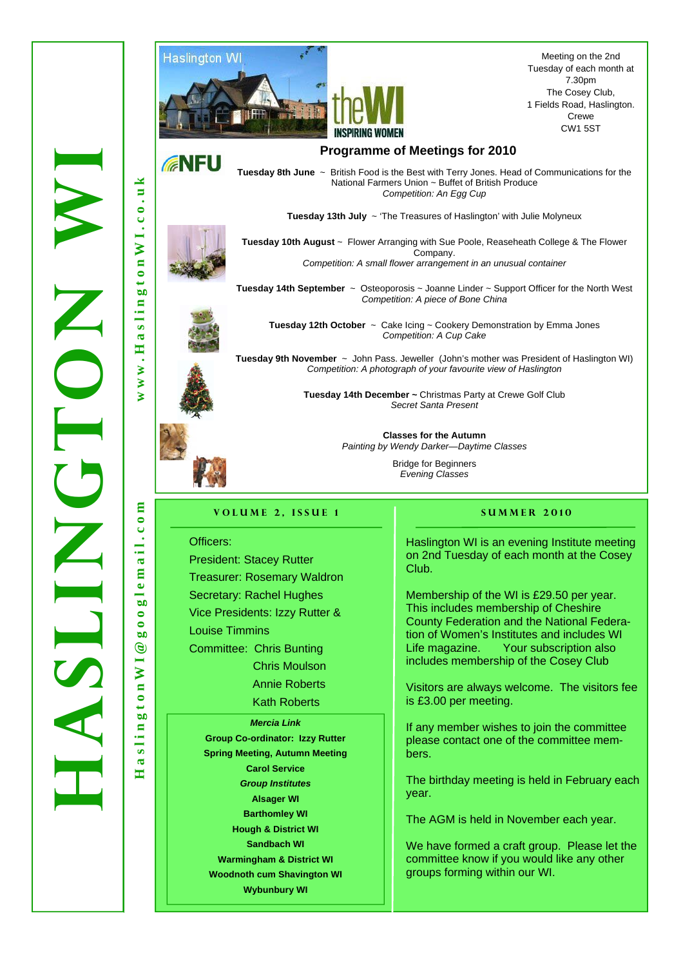

Meeting on the 2nd Tuesday of each month at 7.30pm The Cosey Club, 1 Fields Road, Haslington. Crewe CW1 5ST

# **GNFU HaslingtonWI@googlemail.com www.HaslingtonWI.co.uk**  × F.  $\bullet$  $\tilde{c}$

 $\overline{N}$  I.

 $\overline{a}$  $\ddot{ }$  $\omega$  $\blacksquare$ slin  $\mathbf{\overline{a}}$  $\blacksquare$ ₹  $\geq$  $\geq$ 

 $\epsilon$  $\overline{c}$  o  $\overline{c}$  $\frac{1}{1}$ ್ಡ  $\mathbf{a}$  $\bullet$  $\frac{1}{50}$  $\bullet$  $\bullet$  $b$ <sup>0</sup>  $\circledcirc$ 

 $\geq$ ē  $\bar{\bullet}$  $\overline{\phantom{0}}$  $\overline{a}$ 

slin  $\mathbf{\alpha}$  $\blacksquare$ 

**Tuesday 8th June** ~ British Food is the Best with Terry Jones. Head of Communications for the National Farmers Union ~ Buffet of British Produce *Competition: An Egg Cup* 

**Tuesday 13th July** ~ 'The Treasures of Haslington' with Julie Molyneux



**Tuesday 10th August** ~ Flower Arranging with Sue Poole, Reaseheath College & The Flower Company. *Competition: A small flower arrangement in an unusual container* 

**Tuesday 14th September** ~ Osteoporosis ~ Joanne Linder ~ Support Officer for the North West *Competition: A piece of Bone China* 





WORCH NRTH

**Tuesday 12th October** ~ Cake Icing ~ Cookery Demonstration by Emma Jones *Competition: A Cup Cake* 

**Tuesday 9th November** ~ John Pass. Jeweller (John's mother was President of Haslington WI) *Competition: A photograph of your favourite view of Haslington* 

> **Tuesday 14th December ~** Christmas Party at Crewe Golf Club *Secret Santa Present*

> > **Classes for the Autumn** *Painting by Wendy Darker—Daytime Classes*

> > > Bridge for Beginners *Evening Classes*

#### **VOLUME 2. ISSUE 1** SUMMER 2010

Officers:

President: Stacey Rutter Treasurer: Rosemary Waldron Secretary: Rachel Hughes Vice Presidents: Izzy Rutter & Louise Timmins Committee: Chris Bunting Chris Moulson Annie Roberts Kath Roberts *Mercia Link*  **Group Co-ordinator: Izzy Rutter** 

**Spring Meeting, Autumn Meeting Carol Service**  *Group Institutes*  **Alsager WI Barthomley WI Hough & District WI Sandbach WI Warmingham & District WI Woodnoth cum Shavington WI Wybunbury WI** 

Haslington WI is an evening Institute meeting on 2nd Tuesday of each month at the Cosey Club.

Membership of the WI is £29.50 per year. This includes membership of Cheshire County Federation and the National Federation of Women's Institutes and includes WI Life magazine. Your subscription also includes membership of the Cosey Club

Visitors are always welcome. The visitors fee is £3.00 per meeting.

If any member wishes to join the committee please contact one of the committee members.

The birthday meeting is held in February each year.

The AGM is held in November each year.

We have formed a craft group. Please let the committee know if you would like any other groups forming within our WI.